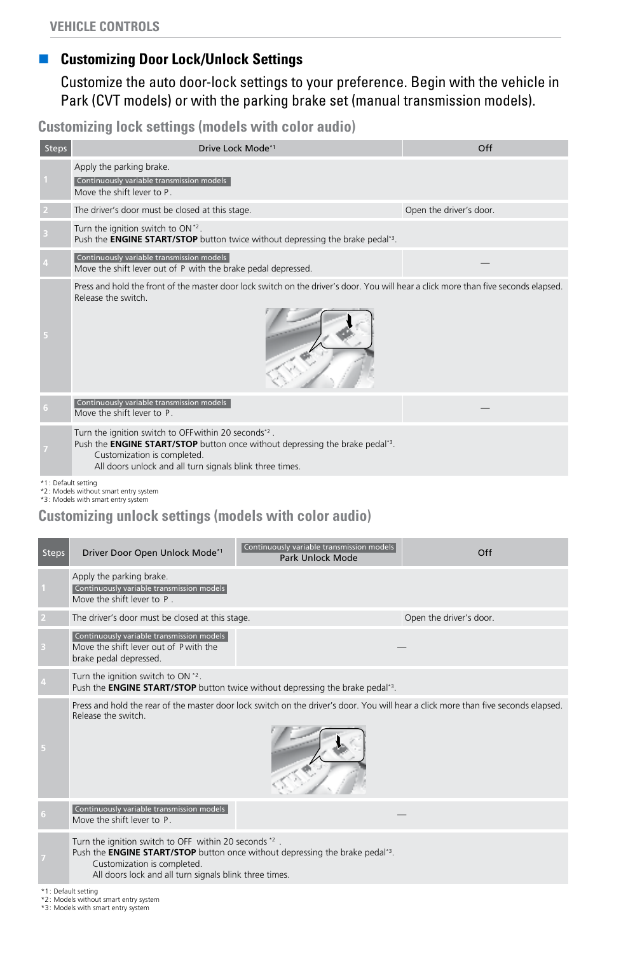#### **n** Customizing Door Lock/Unlock Settings

Customize the auto door-lock settings to your preference. Begin with the vehicle in Park (CVT models) or with the parking brake set (manual transmission models).

**Customizing lock settings (models with color audio)**

| Steps | Drive Lock Mode*1                                                                                                                                                                                                                                   | Off                     |
|-------|-----------------------------------------------------------------------------------------------------------------------------------------------------------------------------------------------------------------------------------------------------|-------------------------|
|       | Apply the parking brake.<br>Continuously variable transmission models<br>Move the shift lever to P.                                                                                                                                                 |                         |
|       | The driver's door must be closed at this stage.                                                                                                                                                                                                     | Open the driver's door. |
|       | Turn the ignition switch to ON*2.<br>Push the <b>ENGINE START/STOP</b> button twice without depressing the brake pedal <sup>*3</sup> .                                                                                                              |                         |
|       | Continuously variable transmission models<br>Move the shift lever out of P with the brake pedal depressed.                                                                                                                                          |                         |
|       | Press and hold the front of the master door lock switch on the driver's door. You will hear a click more than five seconds elapsed.<br>Release the switch.                                                                                          |                         |
|       | Continuously variable transmission models<br>Move the shift lever to P.                                                                                                                                                                             |                         |
|       | Turn the ignition switch to OFF within 20 seconds*2.<br>Push the <b>ENGINE START/STOP</b> button once without depressing the brake pedal <sup>*3</sup> .<br>Customization is completed.<br>All doors unlock and all turn signals blink three times. |                         |

\*1: Default setting \*2: Models without smart entry system \*3: Models with smart entry system

#### **Customizing unlock settings (models with color audio)**

| <b>Steps</b> | Driver Door Open Unlock Mode*1                                                                                                                                                                                                                     | Continuously variable transmission models<br>Park Unlock Mode | Off                     |
|--------------|----------------------------------------------------------------------------------------------------------------------------------------------------------------------------------------------------------------------------------------------------|---------------------------------------------------------------|-------------------------|
|              | Apply the parking brake.<br>Continuously variable transmission models<br>Move the shift lever to P.                                                                                                                                                |                                                               |                         |
|              | The driver's door must be closed at this stage.                                                                                                                                                                                                    |                                                               | Open the driver's door. |
|              | Continuously variable transmission models<br>Move the shift lever out of P with the<br>brake pedal depressed.                                                                                                                                      |                                                               |                         |
|              | Turn the ignition switch to ON *2.<br>Push the <b>ENGINE START/STOP</b> button twice without depressing the brake pedal <sup>*3</sup> .                                                                                                            |                                                               |                         |
|              | Press and hold the rear of the master door lock switch on the driver's door. You will hear a click more than five seconds elapsed.<br>Release the switch.                                                                                          |                                                               |                         |
|              | Continuously variable transmission models<br>Move the shift lever to P.                                                                                                                                                                            |                                                               |                         |
|              | Turn the ignition switch to OFF within 20 seconds *2.<br>Push the <b>ENGINE START/STOP</b> button once without depressing the brake pedal <sup>*3</sup> .<br>Customization is completed.<br>All doors lock and all turn signals blink three times. |                                                               |                         |

\*1: Default setting \*2: Models without smart entry system \*3: Models with smart entry system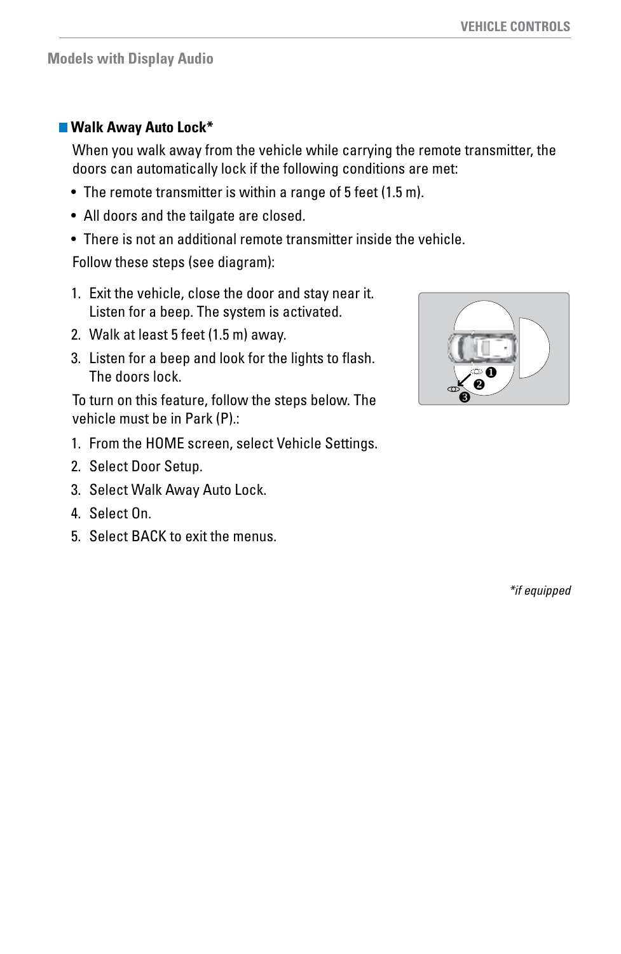#### **Models with Display Audio**

#### **Walk Away Auto Lock\***

When you walk away from the vehicle while carrying the remote transmitter, the doors can automatically lock if the following conditions are met:

- The remote transmitter is within a range of 5 feet (1.5 m).
- All doors and the tailgate are closed.
- There is not an additional remote transmitter inside the vehicle.

Follow these steps (see diagram):

- 1. Exit the vehicle, close the door and stay near it. Listen for a beep. The system is activated.
- 2. Walk at least 5 feet (1.5 m) away.
- 3. Listen for a beep and look for the lights to flash. The doors lock.

To turn on this feature, follow the steps below. The vehicle must be in Park (P).:

- 1. From the HOME screen, select Vehicle Settings.
- 2. Select Door Setup.
- 3. Select Walk Away Auto Lock.
- 4. Select On.
- 5. Select BACK to exit the menus.

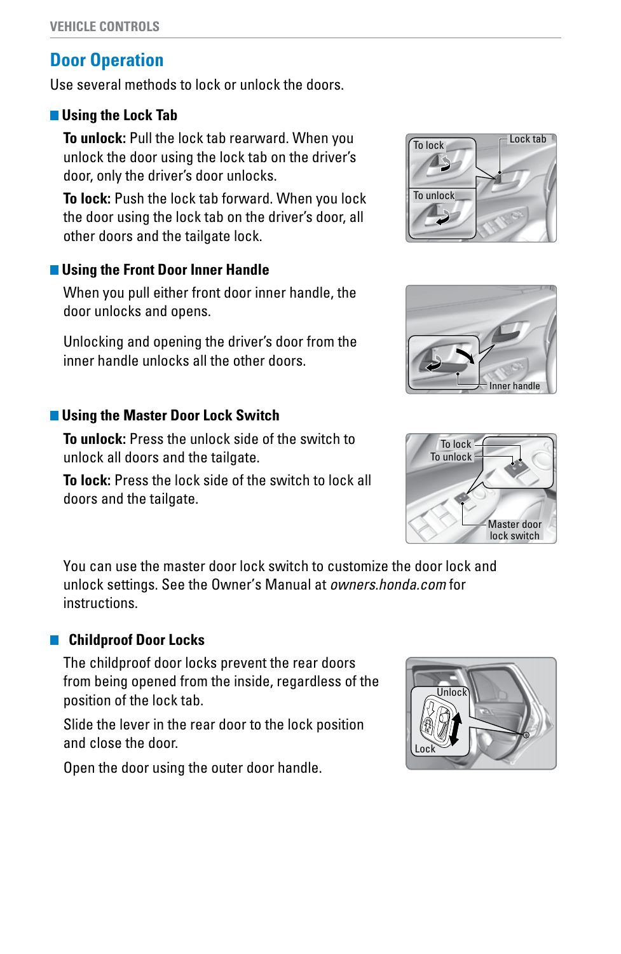# **Door Operation**

Use several methods to lock or unlock the doors.

## *<u><b>* Using the Lock Tab</u>

**To unlock:** Pull the lock tab rearward. When you unlock the door using the lock tab on the driver's door, only the driver's door unlocks.

**To lock:** Push the lock tab forward. When you lock the door using the lock tab on the driver's door, all other doors and the tailgate lock.

## **Using the Front Door Inner Handle**

When you pull either front door inner handle, the door unlocks and opens.

Unlocking and opening the driver's door from the inner handle unlocks all the other doors.

## **Using the Master Door Lock Switch**

**To unlock:** Press the unlock side of the switch to unlock all doors and the tailgate.

**To lock:** Press the lock side of the switch to lock all doors and the tailgate.

You can use the master door lock switch to customize the door lock and unlock settings. See the Owner's Manual at *owners.honda.com* for instructions.

## **Childproof Door Locks**

The childproof door locks prevent the rear doors from being opened from the inside, regardless of the position of the lock tab.

Slide the lever in the rear door to the lock position and close the door.

Open the door using the outer door handle.